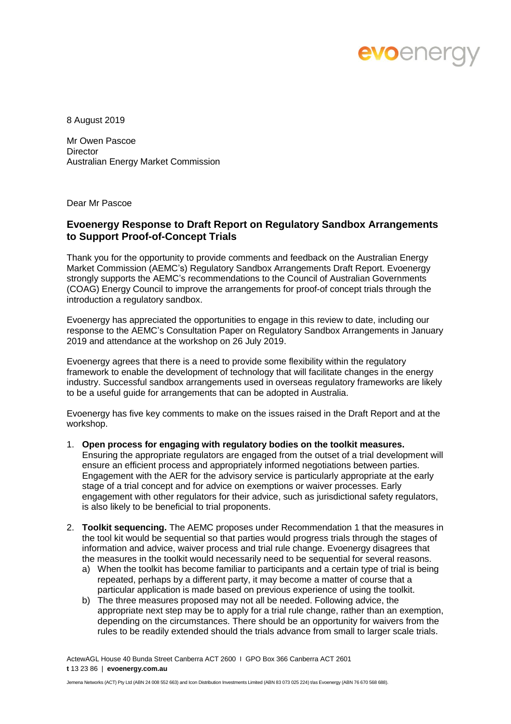

8 August 2019

Mr Owen Pascoe **Director** Australian Energy Market Commission

Dear Mr Pascoe

## **Evoenergy Response to Draft Report on Regulatory Sandbox Arrangements to Support Proof-of-Concept Trials**

Thank you for the opportunity to provide comments and feedback on the Australian Energy Market Commission (AEMC's) Regulatory Sandbox Arrangements Draft Report. Evoenergy strongly supports the AEMC's recommendations to the Council of Australian Governments (COAG) Energy Council to improve the arrangements for proof-of concept trials through the introduction a regulatory sandbox.

Evoenergy has appreciated the opportunities to engage in this review to date, including our response to the AEMC's Consultation Paper on Regulatory Sandbox Arrangements in January 2019 and attendance at the workshop on 26 July 2019.

Evoenergy agrees that there is a need to provide some flexibility within the regulatory framework to enable the development of technology that will facilitate changes in the energy industry. Successful sandbox arrangements used in overseas regulatory frameworks are likely to be a useful guide for arrangements that can be adopted in Australia.

Evoenergy has five key comments to make on the issues raised in the Draft Report and at the workshop.

- 1. **Open process for engaging with regulatory bodies on the toolkit measures.** Ensuring the appropriate regulators are engaged from the outset of a trial development will ensure an efficient process and appropriately informed negotiations between parties. Engagement with the AER for the advisory service is particularly appropriate at the early stage of a trial concept and for advice on exemptions or waiver processes. Early engagement with other regulators for their advice, such as jurisdictional safety regulators, is also likely to be beneficial to trial proponents.
- 2. **Toolkit sequencing.** The AEMC proposes under Recommendation 1 that the measures in the tool kit would be sequential so that parties would progress trials through the stages of information and advice, waiver process and trial rule change. Evoenergy disagrees that the measures in the toolkit would necessarily need to be sequential for several reasons.
	- a) When the toolkit has become familiar to participants and a certain type of trial is being repeated, perhaps by a different party, it may become a matter of course that a particular application is made based on previous experience of using the toolkit.
	- b) The three measures proposed may not all be needed. Following advice, the appropriate next step may be to apply for a trial rule change, rather than an exemption, depending on the circumstances. There should be an opportunity for waivers from the rules to be readily extended should the trials advance from small to larger scale trials.

ActewAGL House 40 Bunda Street Canberra ACT 2600 I GPO Box 366 Canberra ACT 2601 **t** 13 23 86 | **evoenergy.com.au**

Jemena Networks (ACT) Pty Ltd (ABN 24 008 552 663) and Icon Distribution Investments Limited (ABN 83 073 025 224) t/as Evoenergy (ABN 76 670 568 688).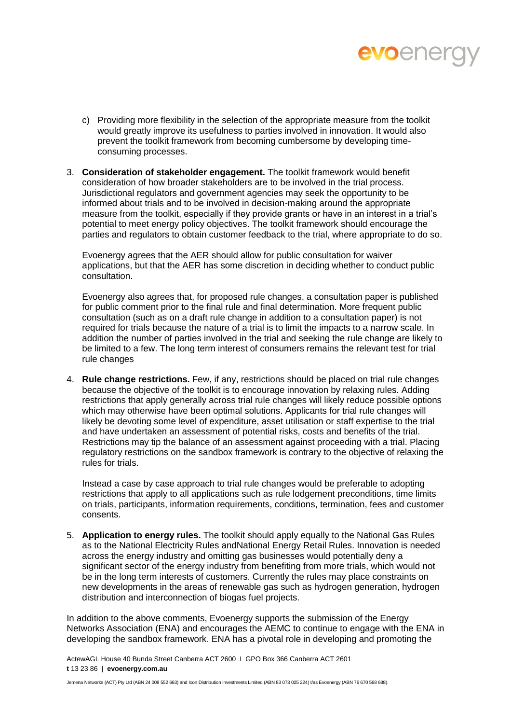

- c) Providing more flexibility in the selection of the appropriate measure from the toolkit would greatly improve its usefulness to parties involved in innovation. It would also prevent the toolkit framework from becoming cumbersome by developing timeconsuming processes.
- 3. **Consideration of stakeholder engagement.** The toolkit framework would benefit consideration of how broader stakeholders are to be involved in the trial process. Jurisdictional regulators and government agencies may seek the opportunity to be informed about trials and to be involved in decision-making around the appropriate measure from the toolkit, especially if they provide grants or have in an interest in a trial's potential to meet energy policy objectives. The toolkit framework should encourage the parties and regulators to obtain customer feedback to the trial, where appropriate to do so.

Evoenergy agrees that the AER should allow for public consultation for waiver applications, but that the AER has some discretion in deciding whether to conduct public consultation.

Evoenergy also agrees that, for proposed rule changes, a consultation paper is published for public comment prior to the final rule and final determination. More frequent public consultation (such as on a draft rule change in addition to a consultation paper) is not required for trials because the nature of a trial is to limit the impacts to a narrow scale. In addition the number of parties involved in the trial and seeking the rule change are likely to be limited to a few. The long term interest of consumers remains the relevant test for trial rule changes

4. **Rule change restrictions.** Few, if any, restrictions should be placed on trial rule changes because the objective of the toolkit is to encourage innovation by relaxing rules. Adding restrictions that apply generally across trial rule changes will likely reduce possible options which may otherwise have been optimal solutions. Applicants for trial rule changes will likely be devoting some level of expenditure, asset utilisation or staff expertise to the trial and have undertaken an assessment of potential risks, costs and benefits of the trial. Restrictions may tip the balance of an assessment against proceeding with a trial. Placing regulatory restrictions on the sandbox framework is contrary to the objective of relaxing the rules for trials.

Instead a case by case approach to trial rule changes would be preferable to adopting restrictions that apply to all applications such as rule lodgement preconditions, time limits on trials, participants, information requirements, conditions, termination, fees and customer consents.

5. **Application to energy rules.** The toolkit should apply equally to the National Gas Rules as to the National Electricity Rules andNational Energy Retail Rules. Innovation is needed across the energy industry and omitting gas businesses would potentially deny a significant sector of the energy industry from benefiting from more trials, which would not be in the long term interests of customers. Currently the rules may place constraints on new developments in the areas of renewable gas such as hydrogen generation, hydrogen distribution and interconnection of biogas fuel projects.

In addition to the above comments, Evoenergy supports the submission of the Energy Networks Association (ENA) and encourages the AEMC to continue to engage with the ENA in developing the sandbox framework. ENA has a pivotal role in developing and promoting the

ActewAGL House 40 Bunda Street Canberra ACT 2600 I GPO Box 366 Canberra ACT 2601 **t** 13 23 86 | **evoenergy.com.au**

Jemena Networks (ACT) Pty Ltd (ABN 24 008 552 663) and Icon Distribution Investments Limited (ABN 83 073 025 224) t/as Evoenergy (ABN 76 670 568 688).